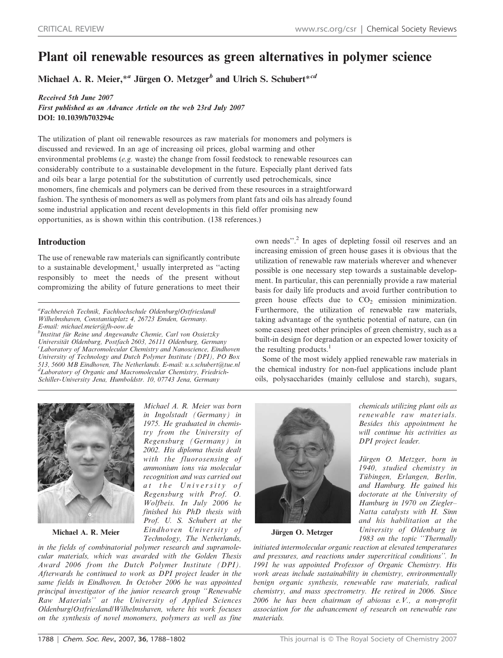# Plant oil renewable resources as green alternatives in polymer science

Michael A. R. Meier,\*<sup>a</sup> Jürgen O. Metzger<sup>b</sup> and Ulrich S. Schubert\*<sup>cd</sup>

Received 5th June 2007

First published as an Advance Article on the web 23rd July 2007 DOI: 10.1039/b703294c

The utilization of plant oil renewable resources as raw materials for monomers and polymers is discussed and reviewed. In an age of increasing oil prices, global warming and other environmental problems (e.g. waste) the change from fossil feedstock to renewable resources can considerably contribute to a sustainable development in the future. Especially plant derived fats and oils bear a large potential for the substitution of currently used petrochemicals, since monomers, fine chemicals and polymers can be derived from these resources in a straightforward fashion. The synthesis of monomers as well as polymers from plant fats and oils has already found some industrial application and recent developments in this field offer promising new opportunities, as is shown within this contribution. (138 references.)

# **Introduction**

The use of renewable raw materials can significantly contribute to a sustainable development, $<sup>1</sup>$  usually interpreted as "acting"</sup> responsibly to meet the needs of the present without compromizing the ability of future generations to meet their

<sup>a</sup>Fachbereich Technik, Fachhochschule Oldenburg/Ostfriesland/ Wilhelmshaven, Constantiaplatz 4, 26723 Emden, Germany. E-mail: michael.meier@fh-oow.de

 $^b$ Institut für Reine und Angewandte Chemie, Carl von Ossietzky Universität Oldenburg, Postfach 2603, 26111 Oldenburg, Germany  ${}^{c}$ Laboratory of Macromolecular Chemistry and Nanoscience, Eindhoven University of Technology and Dutch Polymer Institute (DPI), PO Box 513, 5600 MB Eindhoven, The Netherlands. E-mail: u.s.schubert@tue.nl <sup>d</sup> Laboratory of Organic and Macromolecular Chemistry, Friedrich-Schiller-University Jena, Humboldstr. 10, 07743 Jena, Germany

own needs''.<sup>2</sup> In ages of depleting fossil oil reserves and an increasing emission of green house gases it is obvious that the utilization of renewable raw materials wherever and whenever possible is one necessary step towards a sustainable development. In particular, this can perennially provide a raw material basis for daily life products and avoid further contribution to green house effects due to  $CO<sub>2</sub>$  emission minimization. Furthermore, the utilization of renewable raw materials, taking advantage of the synthetic potential of nature, can (in some cases) meet other principles of green chemistry, such as a built-in design for degradation or an expected lower toxicity of the resulting products. $<sup>1</sup>$ </sup>

Some of the most widely applied renewable raw materials in the chemical industry for non-fuel applications include plant oils, polysaccharides (mainly cellulose and starch), sugars,

> chemicals utilizing plant oils as renewable raw materials. Besides this appointment he will continue his activities as

> Jürgen O. Metzger, born in 1940, studied chemistry in Tübingen, Erlangen, Berlin, and Hamburg. He gained his doctorate at the University of Hamburg in 1970 on Ziegler– Natta catalysts with H. Sinn and his habilitation at the University of Oldenburg in

DPI project leader.



Michael A. R. Meier was born in Ingolstadt (Germany) in 1975. He graduated in chemistry from the University of Regensburg (Germany) in 2002. His diploma thesis dealt with the fluorosensing of ammonium ions via molecular recognition and was carried out at the University of Regensburg with Prof. O. Wolfbeis. In July 2006 he finished his PhD thesis with Prof. U. S. Schubert at the Eindhoven University of Technology, The Netherlands, Michael A. R. Meier Linanoven University of Jürgen O. Metzger

in the fields of combinatorial polymer research and supramolecular materials, which was awarded with the Golden Thesis Award 2006 from the Dutch Polymer Institute (DPI). Afterwards he continued to work as DPI project leader in the same fields in Eindhoven. In October 2006 he was appointed principal investigator of the junior research group ''Renewable Raw Materials'' at the University of Applied Sciences Oldenburg/Ostfriesland/Wilhelmshaven, where his work focuses on the synthesis of novel monomers, polymers as well as fine



1983 on the topic ''Thermally initiated intermolecular organic reaction at elevated temperatures and pressures, and reactions under supercritical conditions''. In 1991 he was appointed Professor of Organic Chemistry. His work areas include sustainability in chemistry, environmentally benign organic synthesis, renewable raw materials, radical chemistry, and mass spectrometry. He retired in 2006. Since 2006 he has been chairman of abiosus e.V., a non-profit association for the advancement of research on renewable raw materials.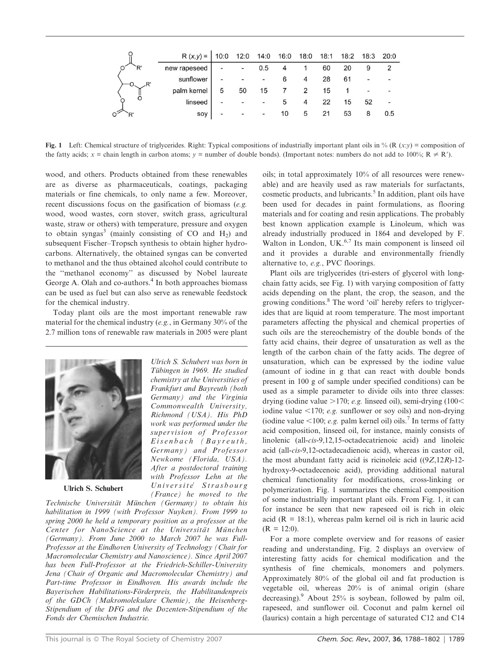|  | $R(x,y) =  $ |    | 10:0 12:0 14:0 16:0 18:0 18:1 |    |   |    | 18:2 | 18:3 | 20:0 |
|--|--------------|----|-------------------------------|----|---|----|------|------|------|
|  | new rapeseed |    | 0.5                           |    |   | 60 | 20   | 9    |      |
|  | sunflower    |    |                               | 6  |   | 28 | 61   |      |      |
|  | palm kernel  | 50 | 15                            |    |   | 15 |      |      |      |
|  | linseed      |    |                               | 5  |   | 22 | 15   | 52   |      |
|  | SOV          |    |                               | 10 | 5 | 21 | 53   | 8    | 0.5  |

Fig. 1 Left: Chemical structure of triglycerides. Right: Typical compositions of industrially important plant oils in % (R (x:y) = composition of the fatty acids;  $x =$  chain length in carbon atoms;  $y =$  number of double bonds). (Important notes: numbers do not add to 100%;  $R \neq R'$ ).

wood, and others. Products obtained from these renewables are as diverse as pharmaceuticals, coatings, packaging materials or fine chemicals, to only name a few. Moreover, recent discussions focus on the gasification of biomass (e.g. wood, wood wastes, corn stover, switch grass, agricultural waste, straw or others) with temperature, pressure and oxygen to obtain syngas<sup>3</sup> (mainly consisting of CO and  $H_2$ ) and subsequent Fischer–Tropsch synthesis to obtain higher hydrocarbons. Alternatively, the obtained syngas can be converted to methanol and the thus obtained alcohol could contribute to the ''methanol economy'' as discussed by Nobel laureate George A. Olah and co-authors.<sup>4</sup> In both approaches biomass can be used as fuel but can also serve as renewable feedstock for the chemical industry.

Today plant oils are the most important renewable raw material for the chemical industry (e.g., in Germany 30% of the 2.7 million tons of renewable raw materials in 2005 were plant

> Ulrich S. Schubert was born in Tübingen in 1969. He studied chemistry at the Universities of Frankfurt and Bayreuth (both Germany) and the Virginia Commonwealth University, Richmond (USA). His PhD work was performed under the supervision of Professor Eisenbach (Bayreuth, Germany) and Professor Newkome (Florida, USA). After a postdoctoral training with Professor Lehn at the



Ulrich S. Schubert

Université Strasbourg (France) he moved to the Technische Universität München (Germany) to obtain his habilitation in 1999 (with Professor Nuyken). From 1999 to spring 2000 he held a temporary position as a professor at the Center for NanoScience at the Universität München (Germany). From June 2000 to March 2007 he was Full-Professor at the Eindhoven University of Technology (Chair for Macromolecular Chemistry and Nanoscience). Since April 2007 has been Full-Professor at the Friedrich-Schiller-University Jena (Chair of Organic and Macromolecular Chemistry) and Part-time Professor in Eindhoven. His awards include the Bayerischen Habilitations-Förderpreis, the Habilitandenpreis of the GDCh (Makromolekulare Chemie), the Heisenberg-Stipendium of the DFG and the Dozenten-Stipendium of the Fonds der Chemischen Industrie.

oils; in total approximately 10% of all resources were renewable) and are heavily used as raw materials for surfactants, cosmetic products, and lubricants.<sup>5</sup> In addition, plant oils have been used for decades in paint formulations, as flooring materials and for coating and resin applications. The probably best known application example is Linoleum, which was already industrially produced in 1864 and developed by F. Walton in London, UK.<sup>6,7</sup> Its main component is linseed oil and it provides a durable and environmentally friendly alternative to, e.g., PVC floorings.

Plant oils are triglycerides (tri-esters of glycerol with longchain fatty acids, see Fig. 1) with varying composition of fatty acids depending on the plant, the crop, the season, and the growing conditions.8 The word 'oil' hereby refers to triglycerides that are liquid at room temperature. The most important parameters affecting the physical and chemical properties of such oils are the stereochemistry of the double bonds of the fatty acid chains, their degree of unsaturation as well as the length of the carbon chain of the fatty acids. The degree of unsaturation, which can be expressed by the iodine value (amount of iodine in g that can react with double bonds present in 100 g of sample under specified conditions) can be used as a simple parameter to divide oils into three classes: drying (iodine value  $>170$ ; *e.g.* linseed oil), semi-drying (100< iodine value  $\leq$ 170; *e.g.* sunflower or soy oils) and non-drying (iodine value  $\leq 100$ ; e.g. palm kernel oil) oils.<sup>7</sup> In terms of fatty acid composition, linseed oil, for instance, mainly consists of linolenic (all-cis-9,12,15-octadecatrienoic acid) and linoleic acid (all-cis-9,12-octadecadienoic acid), whereas in castor oil, the most abundant fatty acid is ricinoleic acid  $((9Z,12R)-12$ hydroxy-9-octadecenoic acid), providing additional natural chemical functionality for modifications, cross-linking or polymerization. Fig. 1 summarizes the chemical composition of some industrially important plant oils. From Fig. 1, it can for instance be seen that new rapeseed oil is rich in oleic acid ( $R = 18:1$ ), whereas palm kernel oil is rich in lauric acid  $(R = 12:0)$ .

For a more complete overview and for reasons of easier reading and understanding, Fig. 2 displays an overview of interesting fatty acids for chemical modification and the synthesis of fine chemicals, monomers and polymers. Approximately 80% of the global oil and fat production is vegetable oil, whereas 20% is of animal origin (share decreasing).<sup>9</sup> About 25% is soybean, followed by palm oil, rapeseed, and sunflower oil. Coconut and palm kernel oil (laurics) contain a high percentage of saturated C12 and C14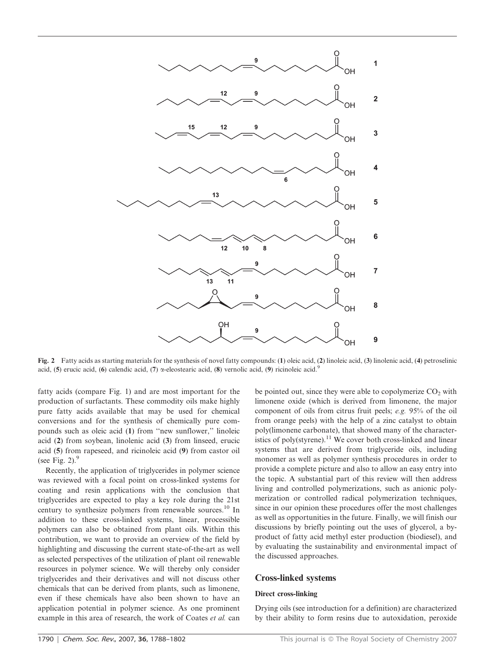

Fig. 2 Fatty acids as starting materials for the synthesis of novel fatty compounds: (1) oleic acid, (2) linoleic acid, (3) linolenic acid, (4) petroselinic acid, (5) erucic acid, (6) calendic acid, (7)  $\alpha$ -eleostearic acid, (8) vernolic acid, (9) ricinoleic acid.<sup>9</sup>

fatty acids (compare Fig. 1) and are most important for the production of surfactants. These commodity oils make highly pure fatty acids available that may be used for chemical conversions and for the synthesis of chemically pure compounds such as oleic acid (1) from ''new sunflower,'' linoleic acid (2) from soybean, linolenic acid (3) from linseed, erucic acid (5) from rapeseed, and ricinoleic acid (9) from castor oil (see Fig. 2). $9$ 

Recently, the application of triglycerides in polymer science was reviewed with a focal point on cross-linked systems for coating and resin applications with the conclusion that triglycerides are expected to play a key role during the 21st century to synthesize polymers from renewable sources.<sup>10</sup> In addition to these cross-linked systems, linear, processible polymers can also be obtained from plant oils. Within this contribution, we want to provide an overview of the field by highlighting and discussing the current state-of-the-art as well as selected perspectives of the utilization of plant oil renewable resources in polymer science. We will thereby only consider triglycerides and their derivatives and will not discuss other chemicals that can be derived from plants, such as limonene, even if these chemicals have also been shown to have an application potential in polymer science. As one prominent example in this area of research, the work of Coates et al. can be pointed out, since they were able to copolymerize  $CO<sub>2</sub>$  with limonene oxide (which is derived from limonene, the major component of oils from citrus fruit peels; e.g. 95% of the oil from orange peels) with the help of a zinc catalyst to obtain poly(limonene carbonate), that showed many of the characteristics of poly(styrene).<sup>11</sup> We cover both cross-linked and linear systems that are derived from triglyceride oils, including monomer as well as polymer synthesis procedures in order to provide a complete picture and also to allow an easy entry into the topic. A substantial part of this review will then address living and controlled polymerizations, such as anionic polymerization or controlled radical polymerization techniques, since in our opinion these procedures offer the most challenges as well as opportunities in the future. Finally, we will finish our discussions by briefly pointing out the uses of glycerol, a byproduct of fatty acid methyl ester production (biodiesel), and by evaluating the sustainability and environmental impact of the discussed approaches.

## Cross-linked systems

#### Direct cross-linking

Drying oils (see introduction for a definition) are characterized by their ability to form resins due to autoxidation, peroxide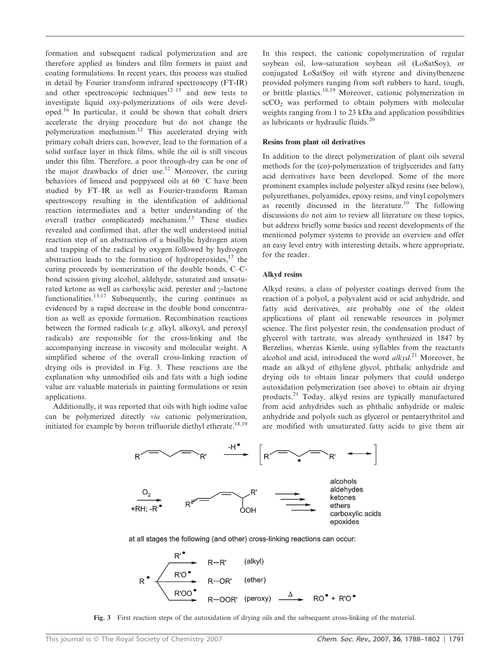formation and subsequent radical polymerization and are therefore applied as binders and film formers in paint and coating formulations. In recent years, this process was studied in detail by Fourier transform infrared spectroscopy (FT-IR) and other spectroscopic techniques<sup>12–15</sup> and new tests to investigate liquid oxy-polymerizations of oils were developed.<sup>16</sup> In particular, it could be shown that cobalt driers accelerate the drying procedure but do not change the polymerization mechanism.<sup>12</sup> This accelerated drying with primary cobalt driers can, however, lead to the formation of a solid surface layer in thick films, while the oil is still viscous under this film. Therefore, a poor through-dry can be one of the major drawbacks of drier use.<sup>12</sup> Moreover, the curing behaviors of linseed and poppyseed oils at 60  $\degree$ C have been studied by FT–IR as well as Fourier-transform Raman spectroscopy resulting in the identification of additional reaction intermediates and a better understanding of the overall (rather complicated) mechanism.<sup>13</sup> These studies revealed and confirmed that, after the well understood initial reaction step of an abstraction of a bisallylic hydrogen atom and trapping of the radical by oxygen followed by hydrogen abstraction leads to the formation of hydroperoxides, $17$  the curing proceeds by isomerization of the double bonds, C–Cbond scission giving alcohol, aldehyde, saturated and unsaturated ketone as well as carboxylic acid, perester and  $\gamma$ -lactone functionalities.<sup>13,17</sup> Subsequently, the curing continues as evidenced by a rapid decrease in the double bond concentration as well as epoxide formation. Recombination reactions between the formed radicals (e.g. alkyl, alkoxyl, and peroxyl radicals) are responsible for the cross-linking and the accompanying increase in viscosity and molecular weight. A simplified scheme of the overall cross-linking reaction of drying oils is provided in Fig. 3. These reactions are the explanation why unmodified oils and fats with a high iodine value are valuable materials in painting formulations or resin applications.

Additionally, it was reported that oils with high iodine value can be polymerized directly via cationic polymerization, initiated for example by boron trifluoride diethyl etherate.<sup>18,19</sup>

In this respect, the cationic copolymerization of regular soybean oil, low-saturation soybean oil (LoSatSoy), or conjugated LoSatSoy oil with styrene and divinylbenzene provided polymers ranging from soft rubbers to hard, tough, or brittle plastics.<sup>18,19</sup> Moreover, cationic polymerization in  $\sec{CO_2}$  was performed to obtain polymers with molecular weights ranging from 1 to 23 kDa and application possibilities as lubricants or hydraulic fluids.<sup>20</sup>

## Resins from plant oil derivatives

In addition to the direct polymerization of plant oils several methods for the (co)-polymerization of triglycerides and fatty acid derivatives have been developed. Some of the more prominent examples include polyester alkyd resins (see below), polyurethanes, polyamides, epoxy resins, and vinyl copolymers as recently discussed in the literature.<sup>10</sup> The following discussions do not aim to review all literature on these topics, but address briefly some basics and recent developments of the mentioned polymer systems to provide an overview and offer an easy level entry with interesting details, where appropriate, for the reader.

### Alkyd resins

Alkyd resins, a class of polyester coatings derived from the reaction of a polyol, a polyvalent acid or acid anhydride, and fatty acid derivatives, are probably one of the oldest applications of plant oil renewable resources in polymer science. The first polyester resin, the condensation product of glycerol with tartrate, was already synthesized in 1847 by Berzelius, whereas Kienle, using syllables from the reactants alcohol and acid, introduced the word  $alkyd$ <sup>21</sup> Moreover, he made an alkyd of ethylene glycol, phthalic anhydride and drying oils to obtain linear polymers that could undergo autoxidation polymerization (see above) to obtain air drying products.<sup>21</sup> Today, alkyd resins are typically manufactured from acid anhydrides such as phthalic anhydride or maleic anhydride and polyols such as glycerol or pentaerythritol and are modified with unsaturated fatty acids to give them air



at all stages the following (and other) cross-linking reactions can occur:



Fig. 3 First reaction steps of the autoxidation of drying oils and the subsequent cross-linking of the material.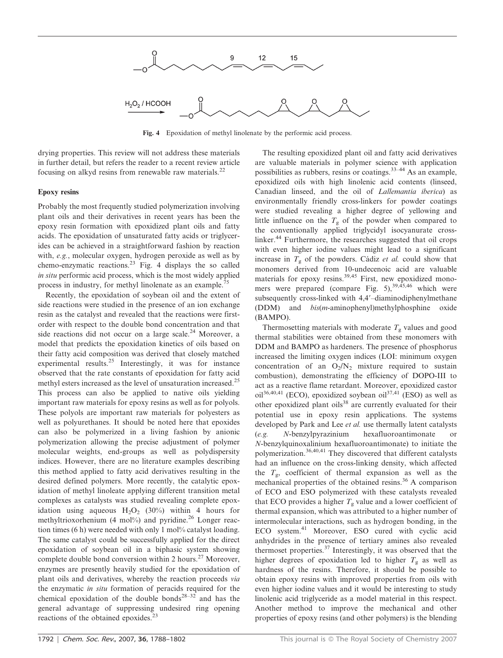

Fig. 4 Epoxidation of methyl linolenate by the performic acid process.

drying properties. This review will not address these materials in further detail, but refers the reader to a recent review article focusing on alkyd resins from renewable raw materials.<sup>22</sup>

## Epoxy resins

Probably the most frequently studied polymerization involving plant oils and their derivatives in recent years has been the epoxy resin formation with epoxidized plant oils and fatty acids. The epoxidation of unsaturated fatty acids or triglycerides can be achieved in a straightforward fashion by reaction with, e.g., molecular oxygen, hydrogen peroxide as well as by chemo-enzymatic reactions.<sup>23</sup> Fig. 4 displays the so called in situ performic acid process, which is the most widely applied process in industry, for methyl linolenate as an example.75

Recently, the epoxidation of soybean oil and the extent of side reactions were studied in the presence of an ion exchange resin as the catalyst and revealed that the reactions were firstorder with respect to the double bond concentration and that side reactions did not occur on a large scale.<sup>24</sup> Moreover, a model that predicts the epoxidation kinetics of oils based on their fatty acid composition was derived that closely matched experimental results.<sup>25</sup> Interestingly, it was for instance observed that the rate constants of epoxidation for fatty acid methyl esters increased as the level of unsaturation increased.<sup>25</sup> This process can also be applied to native oils yielding important raw materials for epoxy resins as well as for polyols. These polyols are important raw materials for polyesters as well as polyurethanes. It should be noted here that epoxides can also be polymerized in a living fashion by anionic polymerization allowing the precise adjustment of polymer molecular weights, end-groups as well as polydispersity indices. However, there are no literature examples describing this method applied to fatty acid derivatives resulting in the desired defined polymers. More recently, the catalytic epoxidation of methyl linoleate applying different transition metal complexes as catalysts was studied revealing complete epoxidation using aqueous  $H_2O_2$  (30%) within 4 hours for methyltrioxorhenium (4 mol%) and pyridine.<sup>26</sup> Longer reaction times (6 h) were needed with only 1 mol% catalyst loading. The same catalyst could be successfully applied for the direct epoxidation of soybean oil in a biphasic system showing complete double bond conversion within 2 hours.<sup>27</sup> Moreover, enzymes are presently heavily studied for the epoxidation of plant oils and derivatives, whereby the reaction proceeds via the enzymatic in situ formation of peracids required for the chemical epoxidation of the double bonds<sup>28–32</sup> and has the general advantage of suppressing undesired ring opening reactions of the obtained epoxides.<sup>23</sup>

The resulting epoxidized plant oil and fatty acid derivatives are valuable materials in polymer science with application possibilities as rubbers, resins or coatings.33–44 As an example, epoxidized oils with high linolenic acid contents (linseed, Canadian linseed, and the oil of Lallemantia iberica) as environmentally friendly cross-linkers for powder coatings were studied revealing a higher degree of yellowing and little influence on the  $T_{\rm g}$  of the powder when compared to the conventionally applied triglycidyl isocyanurate crosslinker.<sup>44</sup> Furthermore, the researches suggested that oil crops with even higher iodine values might lead to a significant increase in  $T_g$  of the powders. Cádiz et al. could show that monomers derived from 10-undecenoic acid are valuable materials for epoxy resins.<sup>39,45</sup> First, new epoxidized monomers were prepared (compare Fig.  $5$ ),  $39,45,46$  which were subsequently cross-linked with 4,4'-diaminodiphenylmethane (DDM) and bis(m-aminophenyl)methylphosphine oxide (BAMPO).

Thermosetting materials with moderate  $T_g$  values and good thermal stabilities were obtained from these monomers with DDM and BAMPO as hardeners. The presence of phosphorus increased the limiting oxygen indices (LOI: minimum oxygen concentration of an  $O_2/N_2$  mixture required to sustain combustion), demonstrating the efficiency of DOPO-III to act as a reactive flame retardant. Moreover, epoxidized castor oil<sup>36,40,41</sup> (ECO), epoxidized soybean oil<sup>37,41</sup> (ESO) as well as other epoxidized plant oils<sup>38</sup> are currently evaluated for their potential use in epoxy resin applications. The systems developed by Park and Lee *et al.* use thermally latent catalysts (e.g. N-benzylpyrazinium hexafluoroantimonate or N-benzylquinoxalinium hexafluoroantimonate) to initiate the polymerization.36,40,41 They discovered that different catalysts had an influence on the cross-linking density, which affected the  $T_{\rm g}$ , coefficient of thermal expansion as well as the mechanical properties of the obtained resins.<sup>36</sup> A comparison of ECO and ESO polymerized with these catalysts revealed that ECO provides a higher  $T<sub>g</sub>$  value and a lower coefficient of thermal expansion, which was attributed to a higher number of intermolecular interactions, such as hydrogen bonding, in the ECO system.<sup>41</sup> Moreover, ESO cured with cyclic acid anhydrides in the presence of tertiary amines also revealed thermoset properties. $37$  Interestingly, it was observed that the higher degrees of epoxidation led to higher  $T_g$  as well as hardness of the resins. Therefore, it should be possible to obtain epoxy resins with improved properties from oils with even higher iodine values and it would be interesting to study linolenic acid triglyceride as a model material in this respect. Another method to improve the mechanical and other properties of epoxy resins (and other polymers) is the blending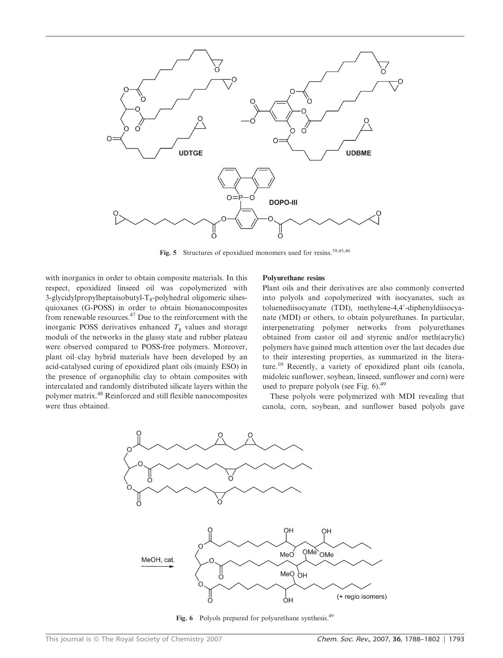

Fig. 5 Structures of epoxidized monomers used for resins.<sup>39,45,46</sup>

with inorganics in order to obtain composite materials. In this respect, epoxidized linseed oil was copolymerized with  $3$ -glycidylpropylheptaisobutyl- $T_8$ -polyhedral oligomeric silsesquioxanes (G-POSS) in order to obtain bionanocomposites from renewable resources.47 Due to the reinforcement with the inorganic POSS derivatives enhanced  $T_g$  values and storage moduli of the networks in the glassy state and rubber plateau were observed compared to POSS-free polymers. Moreover, plant oil–clay hybrid materials have been developed by an acid-catalysed curing of epoxidized plant oils (mainly ESO) in the presence of organophilic clay to obtain composites with intercalated and randomly distributed silicate layers within the polymer matrix.<sup>48</sup> Reinforced and still flexible nanocomposites were thus obtained.

## Polyurethane resins

Plant oils and their derivatives are also commonly converted into polyols and copolymerized with isocyanates, such as toluenediisocyanate (TDI), methylene-4,4'-diphenyldiisocyanate (MDI) or others, to obtain polyurethanes. In particular, interpenetrating polymer networks from polyurethanes obtained from castor oil and styrenic and/or meth(acrylic) polymers have gained much attention over the last decades due to their interesting properties, as summarized in the literature.<sup>10</sup> Recently, a variety of epoxidized plant oils (canola, midoleic sunflower, soybean, linseed, sunflower and corn) were used to prepare polyols (see Fig. 6).<sup>49</sup>

These polyols were polymerized with MDI revealing that canola, corn, soybean, and sunflower based polyols gave



Fig. 6 Polyols prepared for polyurethane synthesis.<sup>49</sup>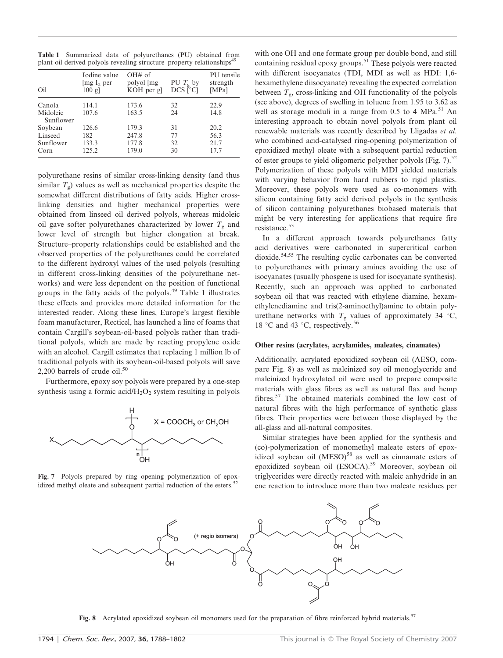Table 1 Summarized data of polyurethanes (PU) obtained from plant oil derived polyols revealing structure–property relationships<sup>49</sup>

| Oil                   | Iodine value<br>$\left[\text{mg}\,I_2\text{ per}\right]$<br>$100$ g] | $OH#$ of<br>polyol [mg<br>KOH per gl | PU $T_{\rm g}$ by<br>$DCS$ [ $^{\circ}$ C] | PU tensile<br>strength<br>[MPa] |  |
|-----------------------|----------------------------------------------------------------------|--------------------------------------|--------------------------------------------|---------------------------------|--|
| Canola                | 114.1                                                                | 173.6                                | 32                                         | 22.9                            |  |
| Midoleic<br>Sunflower | 107.6                                                                | 163.5                                | 24                                         | 14.8                            |  |
| Soybean               | 126.6                                                                | 179.3                                | 31                                         | 20.2                            |  |
| Linseed               | 182                                                                  | 247.8                                | 77                                         | 56.3                            |  |
| Sunflower             | 133.3                                                                | 177.8                                | 32                                         | 21.7                            |  |
| Corn                  | 125.2                                                                | 179.0                                | 30                                         | 17.7                            |  |

polyurethane resins of similar cross-linking density (and thus similar  $T_g$ ) values as well as mechanical properties despite the somewhat different distributions of fatty acids. Higher crosslinking densities and higher mechanical properties were obtained from linseed oil derived polyols, whereas midoleic oil gave softer polyurethanes characterized by lower  $T_g$  and lower level of strength but higher elongation at break. Structure–property relationships could be established and the observed properties of the polyurethanes could be correlated to the different hydroxyl values of the used polyols (resulting in different cross-linking densities of the polyurethane networks) and were less dependent on the position of functional groups in the fatty acids of the polyols.<sup>49</sup> Table 1 illustrates these effects and provides more detailed information for the interested reader. Along these lines, Europe's largest flexible foam manufacturer, Recticel, has launched a line of foams that contain Cargill's soybean-oil-based polyols rather than traditional polyols, which are made by reacting propylene oxide with an alcohol. Cargill estimates that replacing 1 million lb of traditional polyols with its soybean-oil-based polyols will save 2,200 barrels of crude oil. $50$ 

Furthermore, epoxy soy polyols were prepared by a one-step synthesis using a formic acid/ $H_2O_2$  system resulting in polyols



Fig. 7 Polyols prepared by ring opening polymerization of epoxidized methyl oleate and subsequent partial reduction of the esters.<sup>52</sup>

with one OH and one formate group per double bond, and still containing residual epoxy groups.<sup>51</sup> These polyols were reacted with different isocyanates (TDI, MDI as well as HDI: 1,6 hexamethylene diisocyanate) revealing the expected correlation between  $T_{\rm g}$ , cross-linking and OH functionality of the polyols (see above), degrees of swelling in toluene from 1.95 to 3.62 as well as storage moduli in a range from  $0.5$  to 4 MPa.<sup>51</sup> An interesting approach to obtain novel polyols from plant oil renewable materials was recently described by Lligadas et al. who combined acid-catalysed ring-opening polymerization of epoxidized methyl oleate with a subsequent partial reduction of ester groups to yield oligomeric polyether polyols (Fig.  $7$ ).<sup>52</sup> Polymerization of these polyols with MDI yielded materials with varying behavior from hard rubbers to rigid plastics. Moreover, these polyols were used as co-monomers with silicon containing fatty acid derived polyols in the synthesis of silicon containing polyurethanes biobased materials that might be very interesting for applications that require fire resistance.<sup>53</sup>

In a different approach towards polyurethanes fatty acid derivatives were carbonated in supercritical carbon dioxide.<sup>54,55</sup> The resulting cyclic carbonates can be converted to polyurethanes with primary amines avoiding the use of isocyanates (usually phosgene is used for isocyanate synthesis). Recently, such an approach was applied to carbonated soybean oil that was reacted with ethylene diamine, hexamethylenediamine and tris(2-aminoethyl)amine to obtain polyurethane networks with  $T_g$  values of approximately 34 °C, 18 °C and 43 °C, respectively.<sup>56</sup>

## Other resins (acrylates, acrylamides, maleates, cinamates)

Additionally, acrylated epoxidized soybean oil (AESO, compare Fig. 8) as well as maleinized soy oil monoglyceride and maleinized hydroxylated oil were used to prepare composite materials with glass fibres as well as natural flax and hemp fibres.57 The obtained materials combined the low cost of natural fibres with the high performance of synthetic glass fibres. Their properties were between those displayed by the all-glass and all-natural composites.

Similar strategies have been applied for the synthesis and (co)-polymerization of monomethyl maleate esters of epoxidized soybean oil  $(MESO)^{58}$  as well as cinnamate esters of epoxidized soybean oil (ESOCA).<sup>59</sup> Moreover, soybean oil triglycerides were directly reacted with maleic anhydride in an ene reaction to introduce more than two maleate residues per



Fig. 8 Acrylated epoxidized soybean oil monomers used for the preparation of fibre reinforced hybrid materials.<sup>57</sup>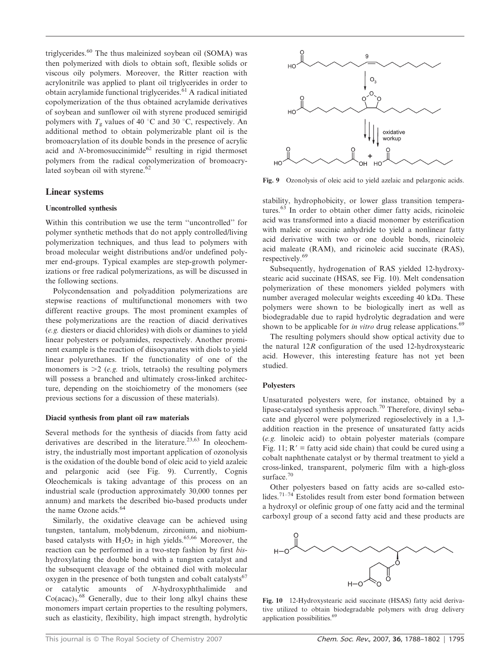triglycerides.<sup>60</sup> The thus maleinized soybean oil (SOMA) was then polymerized with diols to obtain soft, flexible solids or viscous oily polymers. Moreover, the Ritter reaction with acrylonitrile was applied to plant oil triglycerides in order to obtain acrylamide functional triglycerides.<sup>61</sup> A radical initiated copolymerization of the thus obtained acrylamide derivatives of soybean and sunflower oil with styrene produced semirigid polymers with  $T_g$  values of 40 °C and 30 °C, respectively. An additional method to obtain polymerizable plant oil is the bromoacrylation of its double bonds in the presence of acrylic acid and  $N$ -bromosuccinimide<sup>62</sup> resulting in rigid thermoset polymers from the radical copolymerization of bromoacrylated soybean oil with styrene.<sup>62</sup>

# Linear systems

## Uncontrolled synthesis

Within this contribution we use the term ''uncontrolled'' for polymer synthetic methods that do not apply controlled/living polymerization techniques, and thus lead to polymers with broad molecular weight distributions and/or undefined polymer end-groups. Typical examples are step-growth polymerizations or free radical polymerizations, as will be discussed in the following sections.

Polycondensation and polyaddition polymerizations are stepwise reactions of multifunctional monomers with two different reactive groups. The most prominent examples of these polymerizations are the reaction of diacid derivatives (e.g. diesters or diacid chlorides) with diols or diamines to yield linear polyesters or polyamides, respectively. Another prominent example is the reaction of diisocyanates with diols to yield linear polyurethanes. If the functionality of one of the monomers is  $>2$  (e.g. triols, tetraols) the resulting polymers will possess a branched and ultimately cross-linked architecture, depending on the stoichiometry of the monomers (see previous sections for a discussion of these materials).

## Diacid synthesis from plant oil raw materials

Several methods for the synthesis of diacids from fatty acid derivatives are described in the literature.<sup>23,63</sup> In oleochemistry, the industrially most important application of ozonolysis is the oxidation of the double bond of oleic acid to yield azaleic and pelargonic acid (see Fig. 9). Currently, Cognis Oleochemicals is taking advantage of this process on an industrial scale (production approximately 30,000 tonnes per annum) and markets the described bio-based products under the name Ozone acids.<sup>64</sup>

Similarly, the oxidative cleavage can be achieved using tungsten, tantalum, molybdenum, zirconium, and niobiumbased catalysts with  $H_2O_2$  in high yields.<sup>65,66</sup> Moreover, the reaction can be performed in a two-step fashion by first bishydroxylating the double bond with a tungsten catalyst and the subsequent cleavage of the obtained diol with molecular oxygen in the presence of both tungsten and cobalt catalysts<sup>67</sup> or catalytic amounts of N-hydroxyphthalimide and  $Co(acac)<sub>3</sub>$ .<sup>68</sup> Generally, due to their long alkyl chains these monomers impart certain properties to the resulting polymers, such as elasticity, flexibility, high impact strength, hydrolytic



Fig. 9 Ozonolysis of oleic acid to yield azelaic and pelargonic acids.

stability, hydrophobicity, or lower glass transition temperatures.<sup>63</sup> In order to obtain other dimer fatty acids, ricinoleic acid was transformed into a diacid monomer by esterification with maleic or succinic anhydride to yield a nonlinear fatty acid derivative with two or one double bonds, ricinoleic acid maleate (RAM), and ricinoleic acid succinate (RAS), respectively.<sup>69</sup>

Subsequently, hydrogenation of RAS yielded 12-hydroxystearic acid succinate (HSAS, see Fig. 10). Melt condensation polymerization of these monomers yielded polymers with number averaged molecular weights exceeding 40 kDa. These polymers were shown to be biologically inert as well as biodegradable due to rapid hydrolytic degradation and were shown to be applicable for *in vitro* drug release applications.<sup>69</sup>

The resulting polymers should show optical activity due to the natural 12R configuration of the used 12-hydroxystearic acid. However, this interesting feature has not yet been studied.

# **Polyesters**

Unsaturated polyesters were, for instance, obtained by a lipase-catalysed synthesis approach.<sup>70</sup> Therefore, divinyl sebacate and glycerol were polymerized regioselectively in a 1,3 addition reaction in the presence of unsaturated fatty acids (e.g. linoleic acid) to obtain polyester materials (compare Fig. 11;  $R'$  = fatty acid side chain) that could be cured using a cobalt naphthenate catalyst or by thermal treatment to yield a cross-linked, transparent, polymeric film with a high-gloss surface.<sup>70</sup>

Other polyesters based on fatty acids are so-called estolides.<sup>71–74</sup> Estolides result from ester bond formation between a hydroxyl or olefinic group of one fatty acid and the terminal carboxyl group of a second fatty acid and these products are



Fig. 10 12-Hydroxystearic acid succinate (HSAS) fatty acid derivative utilized to obtain biodegradable polymers with drug delivery application possibilities.<sup>69</sup>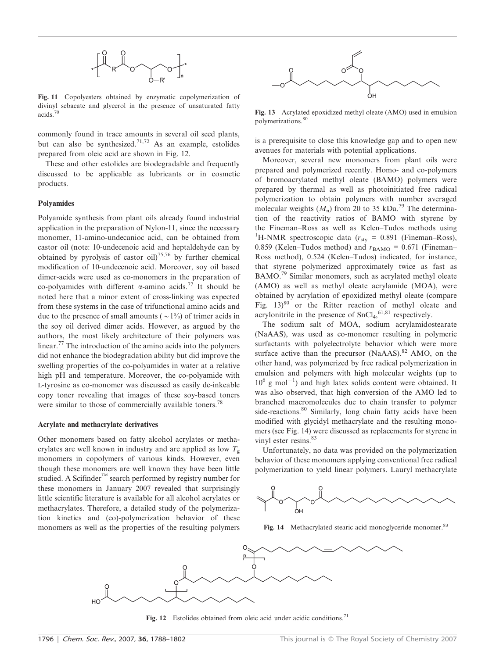

Fig. 11 Copolyesters obtained by enzymatic copolymerization of divinyl sebacate and glycerol in the presence of unsaturated fatty acids.70

commonly found in trace amounts in several oil seed plants, but can also be synthesized.<sup>71,72</sup> As an example, estolides prepared from oleic acid are shown in Fig. 12.

These and other estolides are biodegradable and frequently discussed to be applicable as lubricants or in cosmetic products.

#### Polyamides

Polyamide synthesis from plant oils already found industrial application in the preparation of Nylon-11, since the necessary monomer, 11-amino-undecanioc acid, can be obtained from castor oil (note: 10-undecenoic acid and heptaldehyde can by obtained by pyrolysis of castor oil)<sup>75,76</sup> by further chemical modification of 10-undecenoic acid. Moreover, soy oil based dimer-acids were used as co-monomers in the preparation of co-polyamides with different  $\alpha$ -amino acids.<sup>77</sup> It should be noted here that a minor extent of cross-linking was expected from these systems in the case of trifunctional amino acids and due to the presence of small amounts ( $\sim$ 1%) of trimer acids in the soy oil derived dimer acids. However, as argued by the authors, the most likely architecture of their polymers was linear.<sup>77</sup> The introduction of the amino acids into the polymers did not enhance the biodegradation ability but did improve the swelling properties of the co-polyamides in water at a relative high pH and temperature. Moreover, the co-polyamide with L-tyrosine as co-monomer was discussed as easily de-inkeable copy toner revealing that images of these soy-based toners were similar to those of commercially available toners.<sup>78</sup>

#### Acrylate and methacrylate derivatives

Other monomers based on fatty alcohol acrylates or methacrylates are well known in industry and are applied as low  $T_{\text{g}}$ monomers in copolymers of various kinds. However, even though these monomers are well known they have been little studied. A Scifinder<sup>TM</sup> search performed by registry number for these monomers in January 2007 revealed that surprisingly little scientific literature is available for all alcohol acrylates or methacrylates. Therefore, a detailed study of the polymerization kinetics and (co)-polymerization behavior of these monomers as well as the properties of the resulting polymers



Fig. 13 Acrylated epoxidized methyl oleate (AMO) used in emulsion polymerizations.80

is a prerequisite to close this knowledge gap and to open new avenues for materials with potential applications.

Moreover, several new monomers from plant oils were prepared and polymerized recently. Homo- and co-polymers of bromoacrylated methyl oleate (BAMO) polymers were prepared by thermal as well as photoinitiated free radical polymerization to obtain polymers with number averaged molecular weights  $(M_n)$  from 20 to 35 kDa.<sup>79</sup> The determination of the reactivity ratios of BAMO with styrene by the Fineman–Ross as well as Kelen–Tudos methods using <sup>1</sup>H-NMR spectroscopic data ( $r_{\text{sty}} = 0.891$  (Fineman–Ross), 0.859 (Kelen–Tudos method) and  $r_{\text{BAMO}} = 0.671$  (Fineman– Ross method), 0.524 (Kelen–Tudos) indicated, for instance, that styrene polymerized approximately twice as fast as BAMO.<sup>79</sup> Similar monomers, such as acrylated methyl oleate (AMO) as well as methyl oleate acrylamide (MOA), were obtained by acrylation of epoxidized methyl oleate (compare Fig.  $13^{80}$  or the Ritter reaction of methyl oleate and acrylonitrile in the presence of  $SnCl<sub>4</sub>, <sup>61,81</sup>$  respectively.

The sodium salt of MOA, sodium acrylamidostearate (NaAAS), was used as co-monomer resulting in polymeric surfactants with polyelectrolyte behavior which were more surface active than the precursor  $(NaAAS)$ .<sup>82</sup> AMO, on the other hand, was polymerized by free radical polymerization in emulsion and polymers with high molecular weights (up to  $10^6$  g mol<sup>-1</sup>) and high latex solids content were obtained. It was also observed, that high conversion of the AMO led to branched macromolecules due to chain transfer to polymer side-reactions.<sup>80</sup> Similarly, long chain fatty acids have been modified with glycidyl methacrylate and the resulting monomers (see Fig. 14) were discussed as replacements for styrene in vinyl ester resins.<sup>83</sup>

Unfortunately, no data was provided on the polymerization behavior of these monomers applying conventional free radical polymerization to yield linear polymers. Lauryl methacrylate



Fig. 14 Methacrylated stearic acid monoglyceride monomer.<sup>83</sup>



Fig. 12 Estolides obtained from oleic acid under acidic conditions.<sup>71</sup>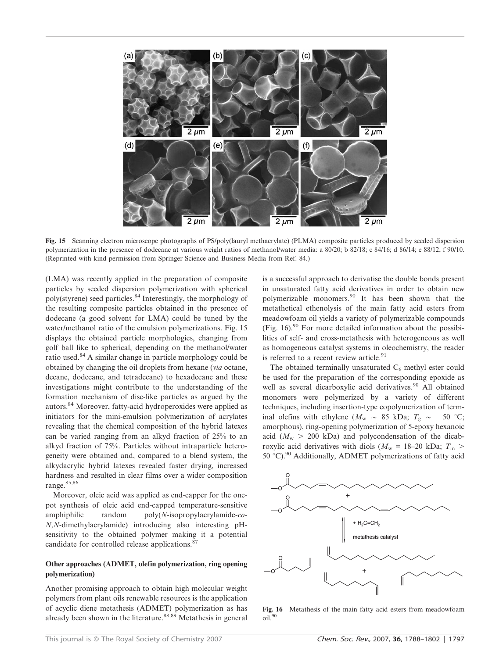

Fig. 15 Scanning electron microscope photographs of PS/poly(lauryl methacrylate) (PLMA) composite particles produced by seeded dispersion polymerization in the presence of dodecane at various weight ratios of methanol/water media: a 80/20; b 82/18; c 84/16; d 86/14; e 88/12; f 90/10. (Reprinted with kind permission from Springer Science and Business Media from Ref. 84.)

(LMA) was recently applied in the preparation of composite particles by seeded dispersion polymerization with spherical poly(styrene) seed particles.84 Interestingly, the morphology of the resulting composite particles obtained in the presence of dodecane (a good solvent for LMA) could be tuned by the water/methanol ratio of the emulsion polymerizations. Fig. 15 displays the obtained particle morphologies, changing from golf ball like to spherical, depending on the methanol/water ratio used.<sup>84</sup> A similar change in particle morphology could be obtained by changing the oil droplets from hexane (via octane, decane, dodecane, and tetradecane) to hexadecane and these investigations might contribute to the understanding of the formation mechanism of disc-like particles as argued by the autors.<sup>84</sup> Moreover, fatty-acid hydroperoxides were applied as initiators for the mini-emulsion polymerization of acrylates revealing that the chemical composition of the hybrid latexes can be varied ranging from an alkyd fraction of 25% to an alkyd fraction of 75%. Particles without intraparticle heterogeneity were obtained and, compared to a blend system, the alkydacrylic hybrid latexes revealed faster drying, increased hardness and resulted in clear films over a wider composition range.85,86

Moreover, oleic acid was applied as end-capper for the onepot synthesis of oleic acid end-capped temperature-sensitive amphiphilic random poly(N-isopropylacrylamide-co-N,N-dimethylacrylamide) introducing also interesting pHsensitivity to the obtained polymer making it a potential candidate for controlled release applications.<sup>8</sup>

## Other approaches (ADMET, olefin polymerization, ring opening polymerization)

Another promising approach to obtain high molecular weight polymers from plant oils renewable resources is the application of acyclic diene metathesis (ADMET) polymerization as has already been shown in the literature.<sup>88,89</sup> Metathesis in general is a successful approach to derivatise the double bonds present in unsaturated fatty acid derivatives in order to obtain new polymerizable monomers.<sup>90</sup> It has been shown that the metathetical ethenolysis of the main fatty acid esters from meadowfoam oil yields a variety of polymerizable compounds (Fig. 16). $90$  For more detailed information about the possibilities of self- and cross-metathesis with heterogeneous as well as homogeneous catalyst systems in oleochemistry, the reader is referred to a recent review article.<sup>91</sup>

The obtained terminally unsaturated  $C_6$  methyl ester could be used for the preparation of the corresponding epoxide as well as several dicarboxylic acid derivatives.<sup>90</sup> All obtained monomers were polymerized by a variety of different techniques, including insertion-type copolymerization of terminal olefins with ethylene ( $M_{\rm w} \sim 85$  kDa;  $T_{\rm g} \sim -50$  °C; amorphous), ring-opening polymerization of 5-epoxy hexanoic acid ( $M_{\rm w}$  > 200 kDa) and polycondensation of the dicabroxylic acid derivatives with diols ( $M_{\rm w}$  = 18–20 kDa;  $T_{\rm m}$  > 50 °C).<sup>90</sup> Additionally, ADMET polymerizations of fatty acid



Fig. 16 Metathesis of the main fatty acid esters from meadowfoam  $\overline{\text{oil}}^{90}$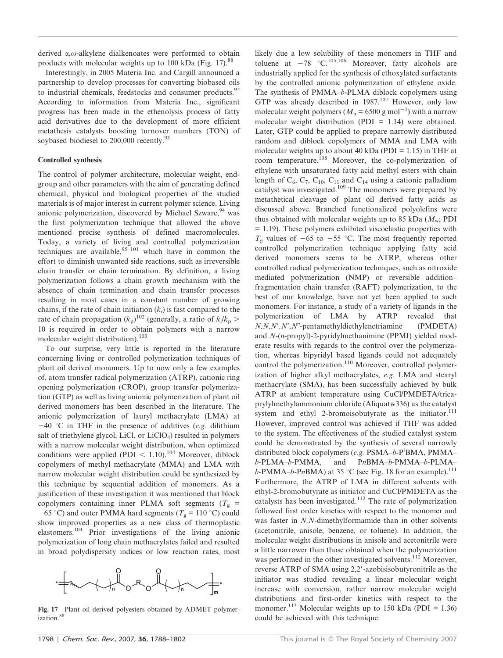derived  $\alpha$ , $\omega$ -alkylene dialkenoates were performed to obtain products with molecular weights up to  $100$  kDa (Fig. 17).<sup>88</sup>

Interestingly, in 2005 Materia Inc. and Cargill announced a partnership to develop processes for converting biobased oils to industrial chemicals, feedstocks and consumer products.<sup>92</sup> According to information from Materia Inc., significant progress has been made in the ethenolysis process of fatty acid derivatives due to the development of more efficient metathesis catalysts boosting turnover numbers (TON) of soybased biodiesel to 200,000 recently.<sup>93</sup>

## Controlled synthesis

The control of polymer architecture, molecular weight, endgroup and other parameters with the aim of generating defined chemical, physical and biological properties of the studied materials is of major interest in current polymer science. Living anionic polymerization, discovered by Michael Szwarc,  $94$  was the first polymerization technique that allowed the above mentioned precise synthesis of defined macromolecules. Today, a variety of living and controlled polymerization techniques are available,  $95-101$  which have in common the effort to diminish unwanted side reactions, such as irreversible chain transfer or chain termination. By definition, a living polymerization follows a chain growth mechanism with the absence of chain termination and chain transfer processes resulting in most cases in a constant number of growing chains, if the rate of chain initiation  $(k<sub>i</sub>)$  is fast compared to the rate of chain propagation  $(k_{\rm p})^{102}$  (generally, a ratio of  $k_{\rm i}/k_{\rm p}$  > 10 is required in order to obtain polymers with a narrow molecular weight distribution).<sup>103</sup>

To our surprise, very little is reported in the literature concerning living or controlled polymerization techniques of plant oil derived monomers. Up to now only a few examples of, atom transfer radical polymerization (ATRP), cationic ring opening polymerization (CROP), group transfer polymerization (GTP) as well as living anionic polymerization of plant oil derived monomers has been described in the literature. The anionic polymerization of lauryl methacrylate (LMA) at  $-40$  °C in THF in the presence of additives (e.g. dilithium salt of triethylene glycol, LiCl, or LiClO<sub>4</sub>) resulted in polymers with a narrow molecular weight distribution, when optimized conditions were applied (PDI  $< 1.10$ ).<sup>104</sup> Moreover, diblock copolymers of methyl methacrylate (MMA) and LMA with narrow molecular weight distribution could be synthesized by this technique by sequential addition of monomers. As a justification of these investigation it was mentioned that block copolymers containing inner PLMA soft segments ( $T_g$  =  $-65$  °C) and outer PMMA hard segments ( $T_g = 110$  °C) could show improved properties as a new class of thermoplastic elastomers.<sup>104</sup> Prior investigations of the living anionic polymerization of long chain methacrylates failed and resulted in broad polydispersity indices or low reaction rates, most



Fig. 17 Plant oil derived polyesters obtained by ADMET polymerization. 88

likely due a low solubility of these monomers in THF and toluene at  $-78$  °C.<sup>105,106</sup> Moreover, fatty alcohols are industrially applied for the synthesis of ethoxylated surfactants by the controlled anionic polymerization of ethylene oxide. The synthesis of PMMA–b-PLMA diblock copolymers using GTP was already described in 1987.<sup>107</sup> However, only low molecular weight polymers ( $M_n = 6500$  g mol<sup>-1</sup>) with a narrow molecular weight distribution (PDI = 1.14) were obtained. Later, GTP could be applied to prepare narrowly distributed random and diblock copolymers of MMA and LMA with molecular weights up to about 40 kDa (PDI = 1.15) in THF at room temperature.<sup>108</sup> Moreover, the co-polymerization of ethylene with unsaturated fatty acid methyl esters with chain length of  $C_6$ ,  $C_7$ ,  $C_{10}$ ,  $C_{11}$  and  $C_{14}$  using a cationic palladium catalyst was investigated.<sup>109</sup> The monomers were prepared by metathetical cleavage of plant oil derived fatty acids as discussed above. Branched functionalized polyolefins were thus obtained with molecular weights up to 85 kDa  $(M_w;$  PDI = 1.19). These polymers exhibited viscoelastic properties with  $T_g$  values of -65 to -55 °C. The most frequently reported controlled polymerization technique applying fatty acid derived monomers seems to be ATRP, whereas other controlled radical polymerization techniques, such as nitroxide mediated polymerization (NMP) or reversible addition– fragmentation chain transfer (RAFT) polymerization, to the best of our knowledge, have not yet been applied to such monomers. For instance, a study of a variety of ligands in the polymerization of LMA by ATRP revealed that  $N, N, N', N'',$ Pentamethyldiethylenetriamine (PMDETA) and N-(n-propyl)-2-pyridylmethanimine (PPMI) yielded moderate results with regards to the control over the polymerization, whereas bipyridyl based ligands could not adequately control the polymerization.<sup>110</sup> Moreover, controlled polymerization of higher alkyl methacrylates, e.g. LMA and stearyl methacrylate (SMA), has been successfully achieved by bulk ATRP at ambient temperature using CuCl/PMDETA/tricaprylylmethylammonium chloride (Aliquatw336) as the catalyst system and ethyl 2-bromoisobutyrate as the initiator.<sup>111</sup> However, improved control was achieved if THF was added to the system. The effectiveness of the studied catalyst system could be demonstrated by the synthesis of several narrowly distributed block copolymers (e.g. PSMA-b-P<sup>t</sup>BMA, PMMAb-PLMA–b-PMMA, and PnBMA–b-PMMA–b-PLMA– b-PMMA–b-PnBMA) at 35 °C (see Fig. 18 for an example).<sup>111</sup> Furthermore, the ATRP of LMA in different solvents with ethyl-2-bromobutyrate as initiator and CuCl/PMDETA as the catalysts has been investigated.<sup>112</sup> The rate of polymerization followed first order kinetics with respect to the monomer and was faster in N,N-dimethylformamide than in other solvents (acetonitrile, anisole, benzene, or toluene). In addition, the molecular weight distributions in anisole and acetonitrile were a little narrower than those obtained when the polymerization was performed in the other investigated solvents.<sup>112</sup> Moreover, reverse ATRP of SMA using 2,2'-azobisisobutyronitrile as the initiator was studied revealing a linear molecular weight increase with conversion, rather narrow molecular weight distributions and first-order kinetics with respect to the monomer.<sup>113</sup> Molecular weights up to 150 kDa (PDI = 1.36) could be achieved with this technique.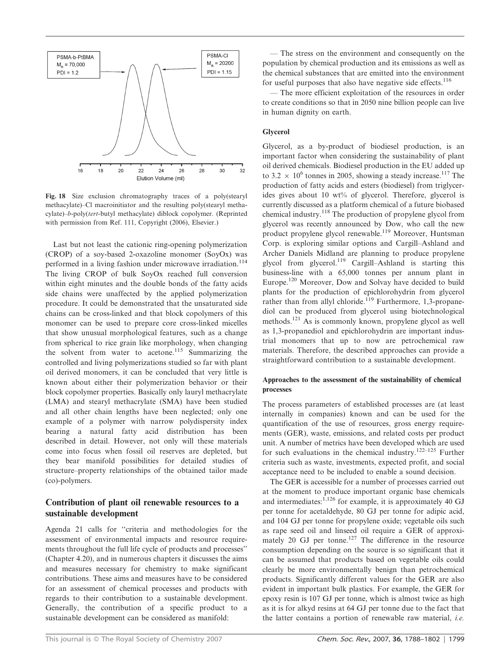

Fig. 18 Size exclusion chromatography traces of a poly(stearyl methacylate)–Cl macroinitiator and the resulting poly(stearyl methacylate)–b-poly(tert-butyl methacylate) diblock copolymer. (Reprinted with permission from Ref. 111, Copyright (2006), Elsevier.)

Last but not least the cationic ring-opening polymerization (CROP) of a soy-based 2-oxazoline monomer (SoyOx) was performed in a living fashion under microwave irradiation.<sup>114</sup> The living CROP of bulk SoyOx reached full conversion within eight minutes and the double bonds of the fatty acids side chains were unaffected by the applied polymerization procedure. It could be demonstrated that the unsaturated side chains can be cross-linked and that block copolymers of this monomer can be used to prepare core cross-linked micelles that show unusual morphological features, such as a change from spherical to rice grain like morphology, when changing the solvent from water to acetone.<sup>115</sup> Summarizing the controlled and living polymerizations studied so far with plant oil derived monomers, it can be concluded that very little is known about either their polymerization behavior or their block copolymer properties. Basically only lauryl methacrylate (LMA) and stearyl methacrylate (SMA) have been studied and all other chain lengths have been neglected; only one example of a polymer with narrow polydispersity index bearing a natural fatty acid distribution has been described in detail. However, not only will these materials come into focus when fossil oil reserves are depleted, but they bear manifold possibilities for detailed studies of structure–property relationships of the obtained tailor made (co)-polymers.

# Contribution of plant oil renewable resources to a sustainable development

Agenda 21 calls for ''criteria and methodologies for the assessment of environmental impacts and resource requirements throughout the full life cycle of products and processes'' (Chapter 4.20), and in numerous chapters it discusses the aims and measures necessary for chemistry to make significant contributions. These aims and measures have to be considered for an assessment of chemical processes and products with regards to their contribution to a sustainable development. Generally, the contribution of a specific product to a sustainable development can be considered as manifold:

— The stress on the environment and consequently on the population by chemical production and its emissions as well as the chemical substances that are emitted into the environment for useful purposes that also have negative side effects.<sup>116</sup>

— The more efficient exploitation of the resources in order to create conditions so that in 2050 nine billion people can live in human dignity on earth.

# Glycerol

Glycerol, as a by-product of biodiesel production, is an important factor when considering the sustainability of plant oil derived chemicals. Biodiesel production in the EU added up to 3.2  $\times$  10<sup>6</sup> tonnes in 2005, showing a steady increase.<sup>117</sup> The production of fatty acids and esters (biodiesel) from triglycerides gives about 10 wt% of glycerol. Therefore, glycerol is currently discussed as a platform chemical of a future biobased chemical industry.<sup>118</sup> The production of propylene glycol from glycerol was recently announced by Dow, who call the new product propylene glycol renewable.<sup>119</sup> Moreover, Huntsman Corp. is exploring similar options and Cargill–Ashland and Archer Daniels Midland are planning to produce propylene glycol from glycerol.<sup>119</sup> Cargill–Ashland is starting this business-line with a 65,000 tonnes per annum plant in Europe.<sup>120</sup> Moreover, Dow and Solvay have decided to build plants for the production of epichlorohydrin from glycerol rather than from allyl chloride.<sup>119</sup> Furthermore, 1,3-propanediol can be produced from glycerol using biotechnological methods.121 As is commonly known, propylene glycol as well as 1,3-propanediol and epichlorohydrin are important industrial monomers that up to now are petrochemical raw materials. Therefore, the described approaches can provide a straightforward contribution to a sustainable development.

## Approaches to the assessment of the sustainability of chemical processes

The process parameters of established processes are (at least internally in companies) known and can be used for the quantification of the use of resources, gross energy requirements (GER), waste, emissions, and related costs per product unit. A number of metrics have been developed which are used for such evaluations in the chemical industry.122–125 Further criteria such as waste, investments, expected profit, and social acceptance need to be included to enable a sound decision.

The GER is accessible for a number of processes carried out at the moment to produce important organic base chemicals and intermediates: $1,126$  for example, it is approximately 40 GJ per tonne for acetaldehyde, 80 GJ per tonne for adipic acid, and 104 GJ per tonne for propylene oxide; vegetable oils such as rape seed oil and linseed oil require a GER of approximately 20 GJ per tonne.<sup>127</sup> The difference in the resource consumption depending on the source is so significant that it can be assumed that products based on vegetable oils could clearly be more environmentally benign than petrochemical products. Significantly different values for the GER are also evident in important bulk plastics. For example, the GER for epoxy resin is 107 GJ per tonne, which is almost twice as high as it is for alkyd resins at 64 GJ per tonne due to the fact that the latter contains a portion of renewable raw material, i.e.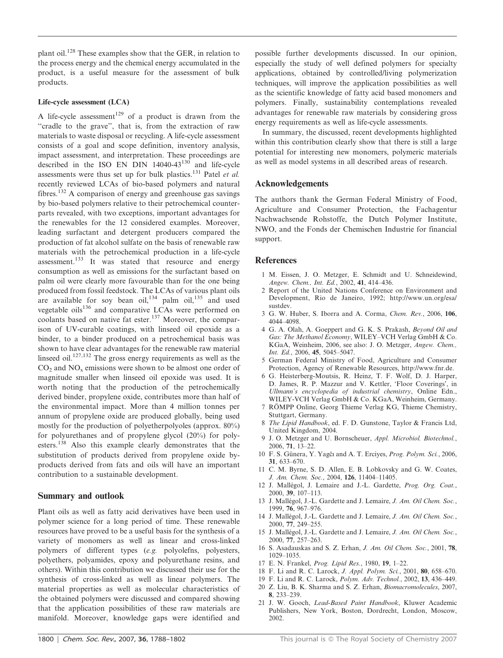plant oil.<sup>128</sup> These examples show that the GER, in relation to the process energy and the chemical energy accumulated in the product, is a useful measure for the assessment of bulk products.

## Life-cycle assessment (LCA)

A life-cycle assessment<sup>129</sup> of a product is drawn from the ''cradle to the grave'', that is, from the extraction of raw materials to waste disposal or recycling. A life-cycle assessment consists of a goal and scope definition, inventory analysis, impact assessment, and interpretation. These proceedings are described in the ISO EN DIN  $14040-43^{130}$  and life-cycle assessments were thus set up for bulk plastics.<sup>131</sup> Patel et al. recently reviewed LCAs of bio-based polymers and natural fibres.<sup>132</sup> A comparison of energy and greenhouse gas savings by bio-based polymers relative to their petrochemical counterparts revealed, with two exceptions, important advantages for the renewables for the 12 considered examples. Moreover, leading surfactant and detergent producers compared the production of fat alcohol sulfate on the basis of renewable raw materials with the petrochemical production in a life-cycle assessment.<sup>133</sup> It was stated that resource and energy consumption as well as emissions for the surfactant based on palm oil were clearly more favourable than for the one being produced from fossil feedstock. The LCAs of various plant oils are available for soy bean oil,<sup>134</sup> palm oil,<sup>135</sup> and used vegetable oils<sup>136</sup> and comparative LCAs were performed on coolants based on native fat ester.<sup>137</sup> Moreover, the comparison of UV-curable coatings, with linseed oil epoxide as a binder, to a binder produced on a petrochemical basis was shown to have clear advantages for the renewable raw material linseed oil.127,132 The gross energy requirements as well as the  $CO<sub>2</sub>$  and  $NO<sub>x</sub>$  emissions were shown to be almost one order of magnitude smaller when linseed oil epoxide was used. It is worth noting that the production of the petrochemically derived binder, propylene oxide, contributes more than half of the environmental impact. More than 4 million tonnes per annum of propylene oxide are produced globally, being used mostly for the production of polyetherpolyoles (approx. 80%) for polyurethanes and of propylene glycol (20%) for polyesters.<sup>138</sup> Also this example clearly demonstrates that the substitution of products derived from propylene oxide byproducts derived from fats and oils will have an important contribution to a sustainable development.

# Summary and outlook

Plant oils as well as fatty acid derivatives have been used in polymer science for a long period of time. These renewable resources have proved to be a useful basis for the synthesis of a variety of monomers as well as linear and cross-linked polymers of different types (e.g. polyolefns, polyesters, polyethers, polyamides, epoxy and polyurethane resins, and others). Within this contribution we discussed their use for the synthesis of cross-linked as well as linear polymers. The material properties as well as molecular characteristics of the obtained polymers were discussed and compared showing that the application possibilities of these raw materials are manifold. Moreover, knowledge gaps were identified and possible further developments discussed. In our opinion, especially the study of well defined polymers for specialty applications, obtained by controlled/living polymerization techniques, will improve the application possibilities as well as the scientific knowledge of fatty acid based monomers and polymers. Finally, sustainability contemplations revealed advantages for renewable raw materials by considering gross energy requirements as well as life-cycle assessments.

In summary, the discussed, recent developments highlighted within this contribution clearly show that there is still a large potential for interesting new monomers, polymeric materials as well as model systems in all described areas of research.

## Acknowledgements

The authors thank the German Federal Ministry of Food, Agriculture and Consumer Protection, the Fachagentur Nachwachsende Rohstoffe, the Dutch Polymer Institute, NWO, and the Fonds der Chemischen Industrie for financial support.

## References

- 1 M. Eissen, J. O. Metzger, E. Schmidt and U. Schneidewind, Angew. Chem., Int. Ed., 2002, 41, 414–436.
- 2 Report of the United Nations Conference on Environment and Development, Rio de Janeiro, 1992; http://www.un.org/esa/ sustdev.
- 3 G. W. Huber, S. Iborra and A. Corma, Chem. Rev., 2006, 106, 4044–4098.
- 4 G. A. Olah, A. Goeppert and G. K. S. Prakash, Beyond Oil and Gas: The Methanol Economy, WILEY-VCH Verlag GmbH & Co. KGaA, Weinheim, 2006, see also: J. O. Metzger, Angew. Chem., Int. Ed., 2006, 45, 5045–5047.
- 5 German Federal Ministry of Food, Agriculture and Consumer Protection, Agency of Renewable Resources, http://www.fnr.de.
- 6 G. Heisterberg-Moutsis, R. Heinz, T. F. Wolf, D. J. Harper, D. James, R. P. Mazzur and V. Kettler, 'Floor Coverings', in Ullmann's encyclopedia of industrial chemistry, Online Edn., WILEY-VCH Verlag GmbH & Co. KGaA, Weinheim, Germany.
- 7 RÖMPP Online, Georg Thieme Verlag KG, Thieme Chemistry, Stuttgart, Germany.
- 8 The Lipid Handbook, ed. F. D. Gunstone, Taylor & Francis Ltd, United Kingdom, 2004.
- 9 J. O. Metzger and U. Bornscheuer, Appl. Microbiol. Biotechnol., 2006, 71, 13–22.
- 10 F. S. Günera, Y. Yagči and A. T. Erciyes, *Prog. Polym. Sci.*, 2006, 31, 633–670.
- 11 C. M. Byrne, S. D. Allen, E. B. Lobkovsky and G. W. Coates, J. Am. Chem. Soc., 2004, 126, 11404–11405.
- 12 J. Mallégol, J. Lemaire and J.-L. Gardette, Prog. Org. Coat., 2000, 39, 107–113.
- 13 J. Mallégol, J.-L. Gardette and J. Lemaire, J. Am. Oil Chem. Soc., 1999, 76, 967–976.
- 14 J. Mallégol, J.-L. Gardette and J. Lemaire, J. Am. Oil Chem. Soc., 2000, 77, 249–255.
- 15 J. Mallégol, J.-L. Gardette and J. Lemaire, *J. Am. Oil Chem. Soc.*, 2000, 77, 257–263.
- 16 S. Asadauskas and S. Z. Erhan, J. Am. Oil Chem. Soc., 2001, 78, 1029–1035.
- 17 E. N. Frankel, Prog. Lipid Res., 1980, 19, 1–22.
- 18 F. Li and R. C. Larock, J. Appl. Polym. Sci., 2001, 80, 658–670.
- 19 F. Li and R. C. Larock, Polym. Adv. Technol., 2002, 13, 436–449.
- 20 Z. Liu, B. K. Sharma and S. Z. Erhan, Biomacromolecules, 2007, 8, 233–239.
- 21 J. W. Gooch, Lead-Based Paint Handbook, Kluwer Academic Publishers, New York, Boston, Dordrecht, London, Moscow, 2002.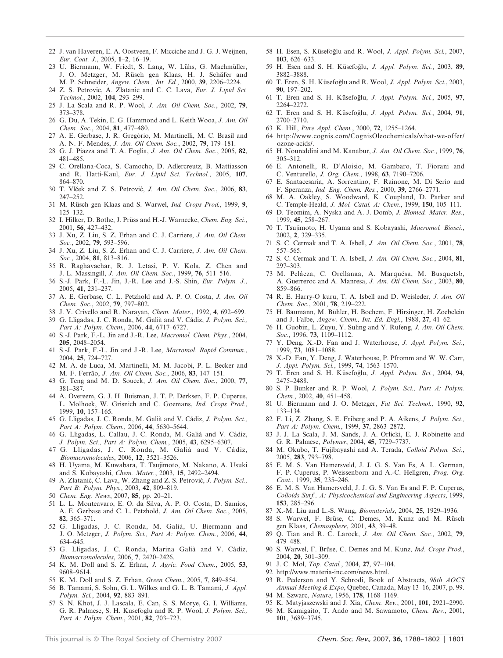- 22 J. van Haveren, E. A. Oostveen, F. Micciche and J. G. J. Weijnen, Eur. Coat. J., 2005, 1–2, 16–19.
- 23 U. Biermann, W. Friedt, S. Lang, W. Lühs, G. Machmüller, J. O. Metzger, M. Rüsch gen Klaas, H. J. Schäfer and M. P. Schneider, Angew. Chem., Int. Ed., 2000, 39, 2206–2224.
- 24 Z. S. Petrovic, A. Zlatanic and C. C. Lava, Eur. J. Lipid Sci. Technol., 2002, 104, 293–299.
- 25 J. La Scala and R. P. Wool, J. Am. Oil Chem. Soc., 2002, 79, 373–378.
- 26 G. Du, A. Tekin, E. G. Hammond and L. Keith Wooa, J. Am. Oil Chem. Soc., 2004, 81, 477–480.
- 27 A. E. Gerbase, J. R. Gregório, M. Martinelli, M. C. Brasil and A. N. F. Mendes, J. Am. Oil Chem. Soc., 2002, 79, 179–181.
- 28 G. J. Piazza and T. A. Foglia, J. Am. Oil Chem. Soc., 2005, 82, 481–485.
- 29 C. Orellana-Coca, S. Camocho, D. Adlercreutz, B. Mattiasson and R. Hatti-Kaul, Eur. J. Lipid Sci. Technol., 2005, 107, 864–870.
- 30 T. Vlček and Z. S. Petrović, J. Am. Oil Chem. Soc., 2006, 83, 247–252.
- 31 M. Rüsch gen Klaas and S. Warwel, Ind. Crops Prod., 1999, 9, 125–132.
- 32 I. Hilker, D. Bothe, J. Prüss and H.-J. Warnecke, Chem. Eng. Sci., 2001, 56, 427–432.
- 33 J. Xu, Z. Liu, S. Z. Erhan and C. J. Carriere, J. Am. Oil Chem. Soc., 2002, **79**, 593-596.
- 34 J. Xu, Z. Liu, S. Z. Erhan and C. J. Carriere, J. Am. Oil Chem. Soc., 2004, **81**, 813-816.
- 35 R. Raghavachar, R. J. Letasi, P. V. Kola, Z. Chen and J. L. Massingill, J. Am. Oil Chem. Soc., 1999, 76, 511–516.
- 36 S.-J. Park, F.-L. Jin, J.-R. Lee and J.-S. Shin, Eur. Polym. J., 2005, 41, 231–237.
- 37 A. E. Gerbase, C. L. Petzhold and A. P. O. Costa, J. Am. Oil Chem. Soc., 2002, 79, 797–802.
- 38 J. V. Crivello and R. Narayan, Chem. Mater., 1992, 4, 692–699.
- 39 G. Lligadas, J. C. Ronda, M. Galià and V. Cádiz, J. Polym. Sci., Part A: Polym. Chem., 2006, 44, 6717-6727.
- 40 S.-J. Park, F.-L. Jin and J.-R. Lee, Macromol. Chem. Phys., 2004, 205, 2048–2054.
- 41 S.-J. Park, F.-L. Jin and J.-R. Lee, Macromol. Rapid Commun., 2004, 25, 724–727.
- 42 M. A. de Luca, M. Martinelli, M. M. Jacobi, P. L. Becker and M. F. Ferrão, J. Am. Oil Chem. Soc., 2006, 83, 147-151.
- 43 G. Teng and M. D. Soucek, J. Am. Oil Chem. Soc., 2000, 77, 381–387.
- 44 A. Overeem, G. J. H. Buisman, J. T. P. Derksen, F. P. Cuperus, L. Molhoek, W. Grisnich and C. Goemans, Ind. Crops Prod., 1999, 10, 157–165.
- 45 G. Lligadas, J. C. Ronda, M. Galià and V. Cádiz, J. Polym. Sci., Part A: Polym. Chem., 2006, 44, 5630-5644.
- 46 G. Lligadas, L. Callau, J. C. Ronda, M. Galià and V. Cádiz, J. Polym. Sci., Part A: Polym. Chem., 2005, 43, 6295–6307.
- 47 G. Lligadas, J. C. Ronda, M. Galià and V. Cádiz, Biomacromolecules, 2006, 12, 3521–3526.
- 48 H. Uyama, M. Kuwabara, T. Tsujimoto, M. Nakano, A. Usuki and S. Kobayashi, Chem. Mater., 2003, 15, 2492–2494.
- 49 A. Zlatanić, C. Lava, W. Zhang and Z. S. Petrović, J. Polym. Sci., Part B: Polym. Phys., 2003, 42, 809-819.
- 50 Chem. Eng. News, 2007, 85, pp. 20–21.
- 51 L. L. Monteavaro, E. O. da Silva, A. P. O. Costa, D. Samios, A. E. Gerbase and C. L. Petzhold, J. Am. Oil Chem. Soc., 2005, 82, 365–371.
- 52 G. Lligadas, J. C. Ronda, M. Galià, U. Biermann and J. O. Metzger, J. Polym. Sci., Part A: Polym. Chem., 2006, 44, 634–645.
- 53 G. Lligadas, J. C. Ronda, Marina Galià and V. Cádiz, Biomacromolecules, 2006, 7, 2420–2426.
- 54 K. M. Doll and S. Z. Erhan, J. Agric. Food Chem., 2005, 53, 9608–9614.
- 55 K. M. Doll and S. Z. Erhan, Green Chem., 2005, 7, 849–854.
- 56 B. Tamami, S. Sohn, G. L. Wilkes and G. L. B. Tamami, J. Appl. Polym. Sci., 2004, 92, 883–891.
- 57 S. N. Khot, J. J. Lascala, E. Can, S. S. Morye, G. I. Williams, G. R. Palmese, S. H. Kusefoglu and R. P. Wool, J. Polym. Sci., Part A: Polym. Chem., 2001, 82, 703-723.
- 58 H. Esen, S. Küsefoğlu and R. Wool, J. Appl. Polym. Sci., 2007, 103, 626–633.
- 59 H. Esen and S. H. Küsefoğlu, J. Appl. Polym. Sci., 2003, 89, 3882–3888.
- 60 T. Eren, S. H. Küsefoğlu and R. Wool, J. Appl. Polym. Sci., 2003, 90, 197–202.
- 61 T. Eren and S. H. Küsefoğlu, J. Appl. Polym. Sci., 2005, 97, 2264–2272.
- 62 T. Eren and S. H. Küsefoğlu, J. Appl. Polym. Sci., 2004, 91, 2700–2710.
- 63 K. Hill, Pure Appl. Chem., 2000, 72, 1255–1264.
- 64 http://www.cognis.com/CognisOleochemicals/what-we-offer/ ozone-acids/.
- 65 H. Noureddini and M. Kanabur, J. Am. Oil Chem. Soc., 1999, 76, 305–312.
- 66 E. Antonelli, R. D'Aloisio, M. Gambaro, T. Fiorani and C. Venturello, J. Org. Chem., 1998, 63, 7190–7206.
- 67 E. Santacesaria, A. Sorrentino, F. Rainone, M. Di Serio and F. Speranza, Ind. Eng. Chem. Res., 2000, 39, 2766–2771.
- M. A. Oakley, S. Woodward, K. Coupland, D. Parker and C. Temple-Heald, J. Mol. Catal. A: Chem., 1999, 150, 105–111.
- 69 D. Teomim, A. Nyska and A. J. Domb, J. Biomed. Mater. Res., 1999, 45, 258–267.
- 70 T. Tsujimoto, H. Uyama and S. Kobayashi, Macromol. Biosci., 2002, 2, 329–335.
- 71 S. C. Cermak and T. A. Isbell, J. Am. Oil Chem. Soc., 2001, 78, 557–565.
- 72 S. C. Cermak and T. A. Isbell, J. Am. Oil Chem. Soc., 2004, 81, 297–303.
- 73 M. Peláeza, C. Orellanaa, A. Marquésa, M. Busquetsb, A. Guerreroc and A. Manresa, J. Am. Oil Chem. Soc., 2003, 80, 859–866.
- 74 R. E. Harry-O kuru, T. A. Isbell and D. Weisleder, J. Am. Oil Chem. Soc., 2001, 78, 219–222.
- 75 H. Baumann, M. Bühler, H. Bochem, F. Hirsinger, H. Zoebelein and J. Falbe, Angew. Chem., Int. Ed. Engl., 1988, 27, 41-62.
- 76 H. Guobin, L. Zuyu, Y. Suling and Y. Rufeng, J. Am. Oil Chem. Soc., 1996, **73**, 1109-1112.
- 77 Y. Deng, X.-D. Fan and J. Waterhouse, J. Appl. Polym. Sci., 1999, 73, 1081–1088.
- 78 X.-D. Fan, Y. Deng, J. Waterhouse, P. Pfromm and W. W. Carr, J. Appl. Polym. Sci., 1999, 74, 1563–1570.
- 79 T. Eren and S. H. Küsefoğlu, J. Appl. Polym. Sci., 2004, 94, 2475–2488.
- 80 S. P. Bunker and R. P. Wool, J. Polym. Sci., Part A: Polym. Chem., 2002, 40, 451–458.
- 81 U. Biermann and J. O. Metzger, Fat Sci. Technol., 1990, 92, 133–134.
- 82 F. Li, Z. Zhang, S. E. Friberg and P. A. Aikens, J. Polym. Sci., Part A: Polym. Chem., 1999, 37, 2863-2872.
- 83 J. J. La Scala, J. M. Sands, J. A. Orlicki, E. J. Robinette and G. R. Palmese, Polymer, 2004, 45, 7729–7737.
- 84 M. Okubo, T. Fujibayashi and A. Terada, Colloid Polym. Sci., 2005, 283, 793–798.
- 85 E. M. S. Van Hamersveld, J. J. G. S. Van Es, A. L. German, F. P. Cuperus, P. Weissenborn and A.-C. Hellgren, Prog. Org. Coat., 1999, 35, 235-246.
- 86 E. M. S. Van Hamersveld, J. J. G. S. Van Es and F. P. Cuperus, Colloids Surf., A: Physicochemical and Engineering Aspects, 1999, 153, 285–296.
- 87 X.-M. Liu and L.-S. Wang, Biomaterials, 2004, 25, 1929–1936.
- 88 S. Warwel, F. Brüse, C. Demes, M. Kunz and M. Rüsch gen Klaas, Chemosphere, 2001, 43, 39–48.
- 89 Q. Tian and R. C. Larock, J. Am. Oil Chem. Soc., 2002, 79, 479–488.
- 90 S. Warwel, F. Brüse, C. Demes and M. Kunz, Ind. Crops Prod., 2004, 20, 301–309.
- 91 J. C. Mol, Top. Catal., 2004, 27, 97–104.
- 92 http://www.materia-inc.com/news.html.
- 93 R. Pederson and Y. Schrodi, Book of Abstracts, 98th AOCS Annual Meeting & Expo, Quebec, Canada, May 13–16, 2007, p. 99.
- 94 M. Szwarc, Nature, 1956, 178, 1168-1169.
- 95 K. Matyjaszewski and J. Xia, Chem. Rev., 2001, 101, 2921–2990.
- 96 M. Kamigaito, T. Ando and M. Sawamoto, Chem. Rev., 2001, 101, 3689–3745.